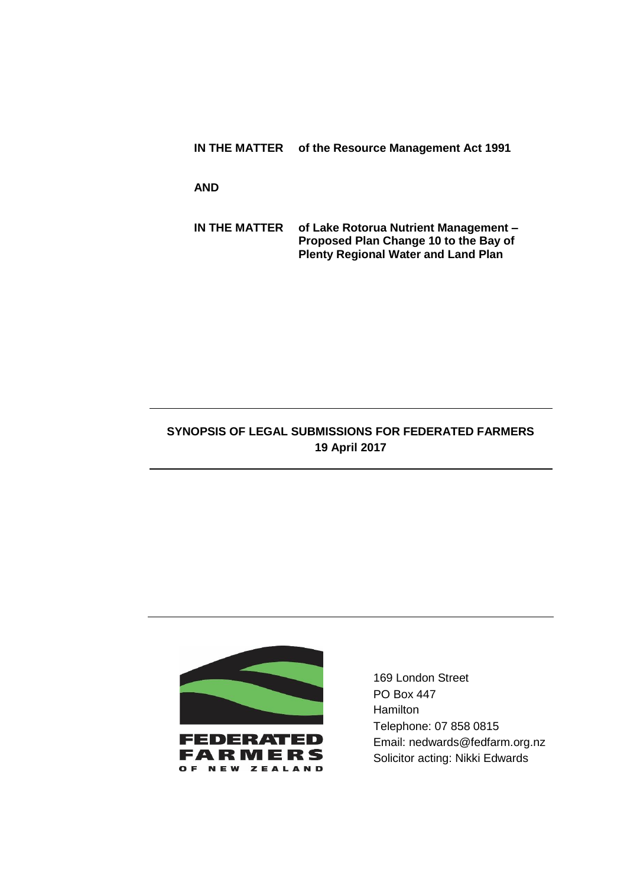**IN THE MATTER of the Resource Management Act 1991**

**AND**

**IN THE MATTER of Lake Rotorua Nutrient Management – Proposed Plan Change 10 to the Bay of Plenty Regional Water and Land Plan**

## **SYNOPSIS OF LEGAL SUBMISSIONS FOR FEDERATED FARMERS 19 April 2017**



169 London Street PO Box 447 **Hamilton** Telephone: 07 858 0815 Email: nedwards@fedfarm.org.nz Solicitor acting: Nikki Edwards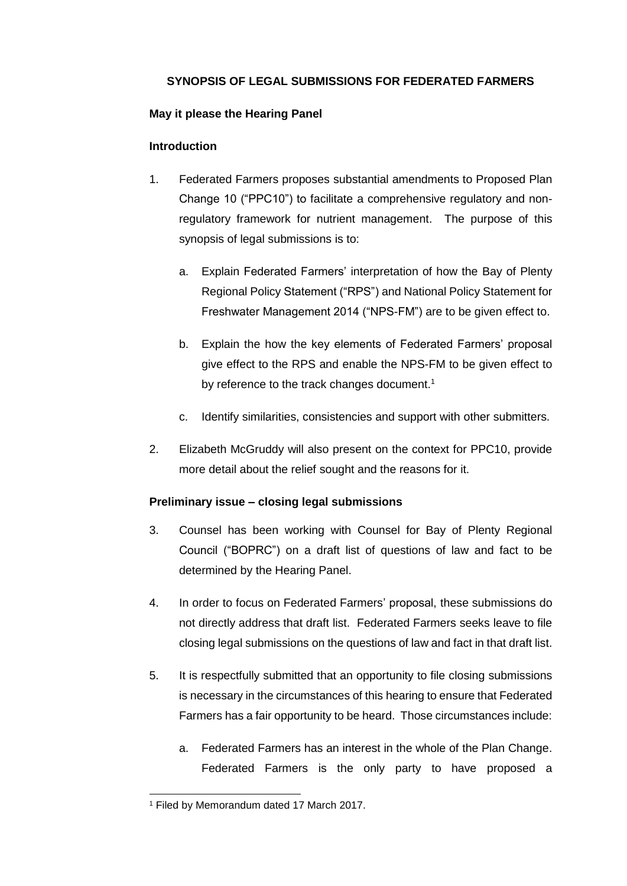# **SYNOPSIS OF LEGAL SUBMISSIONS FOR FEDERATED FARMERS**

#### **May it please the Hearing Panel**

#### **Introduction**

- 1. Federated Farmers proposes substantial amendments to Proposed Plan Change 10 ("PPC10") to facilitate a comprehensive regulatory and nonregulatory framework for nutrient management. The purpose of this synopsis of legal submissions is to:
	- a. Explain Federated Farmers' interpretation of how the Bay of Plenty Regional Policy Statement ("RPS") and National Policy Statement for Freshwater Management 2014 ("NPS-FM") are to be given effect to.
	- b. Explain the how the key elements of Federated Farmers' proposal give effect to the RPS and enable the NPS-FM to be given effect to by reference to the track changes document.<sup>1</sup>
	- c. Identify similarities, consistencies and support with other submitters.
- 2. Elizabeth McGruddy will also present on the context for PPC10, provide more detail about the relief sought and the reasons for it.

## **Preliminary issue – closing legal submissions**

- 3. Counsel has been working with Counsel for Bay of Plenty Regional Council ("BOPRC") on a draft list of questions of law and fact to be determined by the Hearing Panel.
- 4. In order to focus on Federated Farmers' proposal, these submissions do not directly address that draft list. Federated Farmers seeks leave to file closing legal submissions on the questions of law and fact in that draft list.
- 5. It is respectfully submitted that an opportunity to file closing submissions is necessary in the circumstances of this hearing to ensure that Federated Farmers has a fair opportunity to be heard. Those circumstances include:
	- a. Federated Farmers has an interest in the whole of the Plan Change. Federated Farmers is the only party to have proposed a

<sup>1</sup> Filed by Memorandum dated 17 March 2017.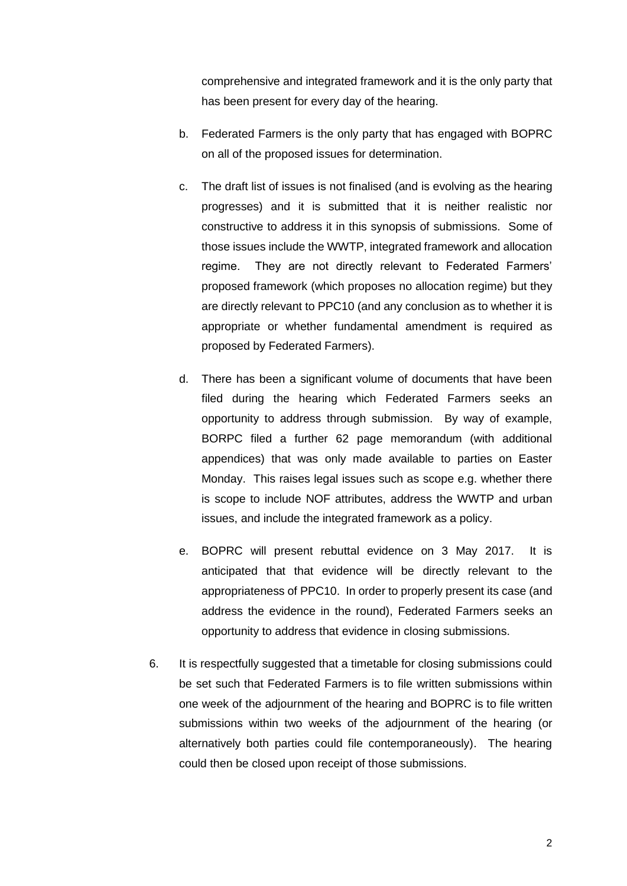comprehensive and integrated framework and it is the only party that has been present for every day of the hearing.

- b. Federated Farmers is the only party that has engaged with BOPRC on all of the proposed issues for determination.
- c. The draft list of issues is not finalised (and is evolving as the hearing progresses) and it is submitted that it is neither realistic nor constructive to address it in this synopsis of submissions. Some of those issues include the WWTP, integrated framework and allocation regime. They are not directly relevant to Federated Farmers' proposed framework (which proposes no allocation regime) but they are directly relevant to PPC10 (and any conclusion as to whether it is appropriate or whether fundamental amendment is required as proposed by Federated Farmers).
- d. There has been a significant volume of documents that have been filed during the hearing which Federated Farmers seeks an opportunity to address through submission. By way of example, BORPC filed a further 62 page memorandum (with additional appendices) that was only made available to parties on Easter Monday. This raises legal issues such as scope e.g. whether there is scope to include NOF attributes, address the WWTP and urban issues, and include the integrated framework as a policy.
- e. BOPRC will present rebuttal evidence on 3 May 2017. It is anticipated that that evidence will be directly relevant to the appropriateness of PPC10. In order to properly present its case (and address the evidence in the round), Federated Farmers seeks an opportunity to address that evidence in closing submissions.
- 6. It is respectfully suggested that a timetable for closing submissions could be set such that Federated Farmers is to file written submissions within one week of the adjournment of the hearing and BOPRC is to file written submissions within two weeks of the adjournment of the hearing (or alternatively both parties could file contemporaneously). The hearing could then be closed upon receipt of those submissions.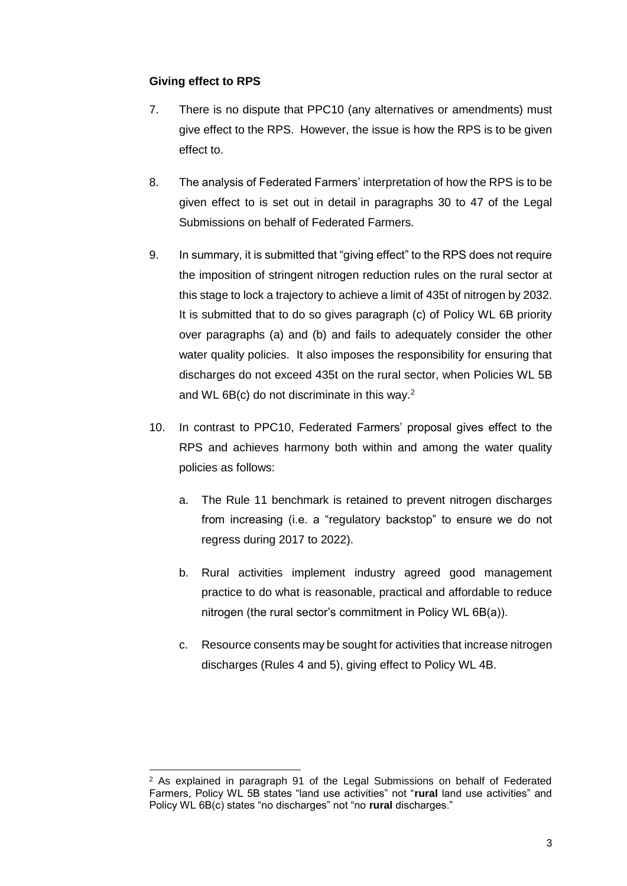#### **Giving effect to RPS**

-

- 7. There is no dispute that PPC10 (any alternatives or amendments) must give effect to the RPS. However, the issue is how the RPS is to be given effect to.
- 8. The analysis of Federated Farmers' interpretation of how the RPS is to be given effect to is set out in detail in paragraphs 30 to 47 of the Legal Submissions on behalf of Federated Farmers.
- 9. In summary, it is submitted that "giving effect" to the RPS does not require the imposition of stringent nitrogen reduction rules on the rural sector at this stage to lock a trajectory to achieve a limit of 435t of nitrogen by 2032. It is submitted that to do so gives paragraph (c) of Policy WL 6B priority over paragraphs (a) and (b) and fails to adequately consider the other water quality policies. It also imposes the responsibility for ensuring that discharges do not exceed 435t on the rural sector, when Policies WL 5B and WL 6B(c) do not discriminate in this way. $2$
- 10. In contrast to PPC10, Federated Farmers' proposal gives effect to the RPS and achieves harmony both within and among the water quality policies as follows:
	- a. The Rule 11 benchmark is retained to prevent nitrogen discharges from increasing (i.e. a "regulatory backstop" to ensure we do not regress during 2017 to 2022).
	- b. Rural activities implement industry agreed good management practice to do what is reasonable, practical and affordable to reduce nitrogen (the rural sector's commitment in Policy WL 6B(a)).
	- c. Resource consents may be sought for activities that increase nitrogen discharges (Rules 4 and 5), giving effect to Policy WL 4B.

<sup>2</sup> As explained in paragraph 91 of the Legal Submissions on behalf of Federated Farmers, Policy WL 5B states "land use activities" not "**rural** land use activities" and Policy WL 6B(c) states "no discharges" not "no **rural** discharges."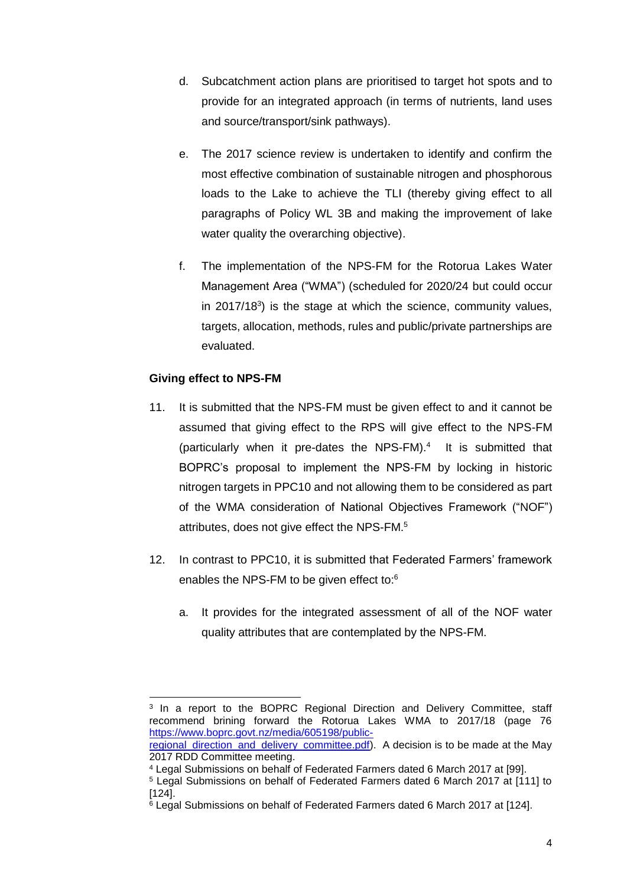- d. Subcatchment action plans are prioritised to target hot spots and to provide for an integrated approach (in terms of nutrients, land uses and source/transport/sink pathways).
- e. The 2017 science review is undertaken to identify and confirm the most effective combination of sustainable nitrogen and phosphorous loads to the Lake to achieve the TLI (thereby giving effect to all paragraphs of Policy WL 3B and making the improvement of lake water quality the overarching objective).
- f. The implementation of the NPS-FM for the Rotorua Lakes Water Management Area ("WMA") (scheduled for 2020/24 but could occur in 2017/18 $3$ ) is the stage at which the science, community values, targets, allocation, methods, rules and public/private partnerships are evaluated.

## **Giving effect to NPS-FM**

 $\overline{a}$ 

- 11. It is submitted that the NPS-FM must be given effect to and it cannot be assumed that giving effect to the RPS will give effect to the NPS-FM (particularly when it pre-dates the NPS-FM). 4 It is submitted that BOPRC's proposal to implement the NPS-FM by locking in historic nitrogen targets in PPC10 and not allowing them to be considered as part of the WMA consideration of National Objectives Framework ("NOF") attributes, does not give effect the NPS-FM.<sup>5</sup>
- 12. In contrast to PPC10, it is submitted that Federated Farmers' framework enables the NPS-FM to be given effect to:<sup>6</sup>
	- a. It provides for the integrated assessment of all of the NOF water quality attributes that are contemplated by the NPS-FM.

<sup>&</sup>lt;sup>3</sup> In a report to the BOPRC Regional Direction and Delivery Committee, staff recommend brining forward the Rotorua Lakes WMA to 2017/18 (page 76 [https://www.boprc.govt.nz/media/605198/public](https://www.boprc.govt.nz/media/605198/public-regional_direction_and_delivery_committee.pdf)regional direction and delivery committee.pdf). A decision is to be made at the May

<sup>2017</sup> RDD Committee meeting.

<sup>4</sup> Legal Submissions on behalf of Federated Farmers dated 6 March 2017 at [99].

<sup>5</sup> Legal Submissions on behalf of Federated Farmers dated 6 March 2017 at [111] to [124].

<sup>6</sup> Legal Submissions on behalf of Federated Farmers dated 6 March 2017 at [124].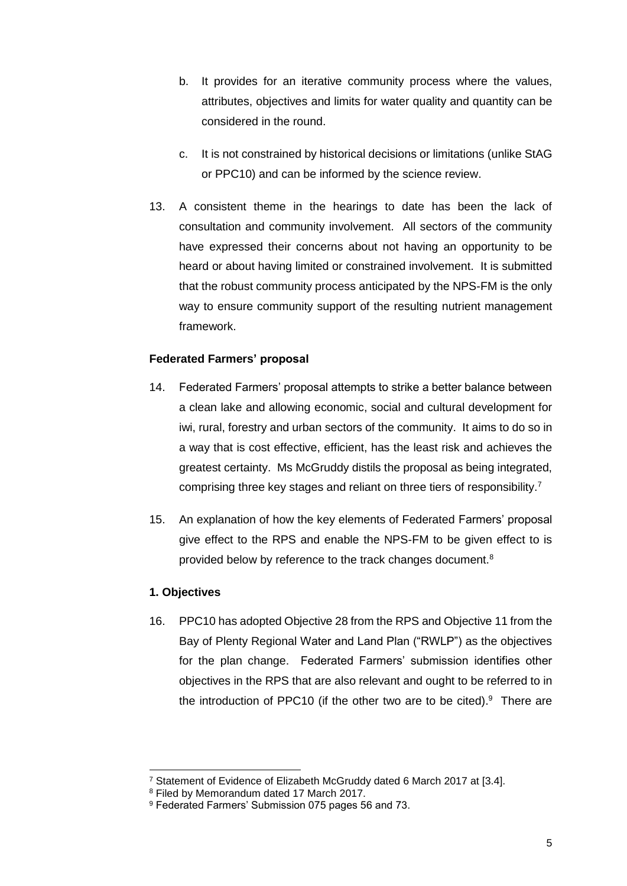- b. It provides for an iterative community process where the values, attributes, objectives and limits for water quality and quantity can be considered in the round.
- c. It is not constrained by historical decisions or limitations (unlike StAG or PPC10) and can be informed by the science review.
- 13. A consistent theme in the hearings to date has been the lack of consultation and community involvement. All sectors of the community have expressed their concerns about not having an opportunity to be heard or about having limited or constrained involvement. It is submitted that the robust community process anticipated by the NPS-FM is the only way to ensure community support of the resulting nutrient management framework.

## **Federated Farmers' proposal**

- 14. Federated Farmers' proposal attempts to strike a better balance between a clean lake and allowing economic, social and cultural development for iwi, rural, forestry and urban sectors of the community. It aims to do so in a way that is cost effective, efficient, has the least risk and achieves the greatest certainty. Ms McGruddy distils the proposal as being integrated, comprising three key stages and reliant on three tiers of responsibility.<sup>7</sup>
- 15. An explanation of how the key elements of Federated Farmers' proposal give effect to the RPS and enable the NPS-FM to be given effect to is provided below by reference to the track changes document.<sup>8</sup>

#### **1. Objectives**

-

16. PPC10 has adopted Objective 28 from the RPS and Objective 11 from the Bay of Plenty Regional Water and Land Plan ("RWLP") as the objectives for the plan change. Federated Farmers' submission identifies other objectives in the RPS that are also relevant and ought to be referred to in the introduction of PPC10 (if the other two are to be cited). $9$  There are

<sup>7</sup> Statement of Evidence of Elizabeth McGruddy dated 6 March 2017 at [3.4].

<sup>8</sup> Filed by Memorandum dated 17 March 2017.

<sup>9</sup> Federated Farmers' Submission 075 pages 56 and 73.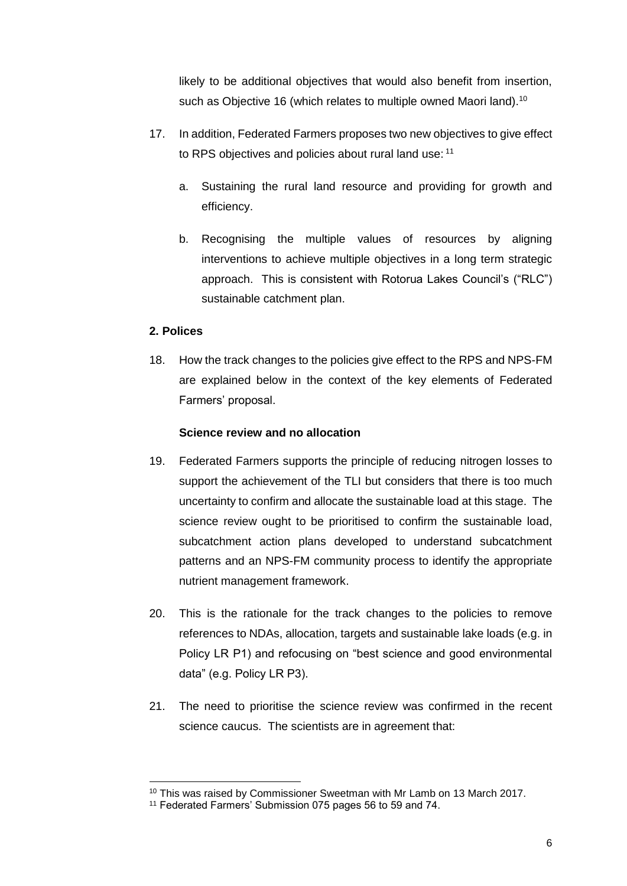likely to be additional objectives that would also benefit from insertion, such as Objective 16 (which relates to multiple owned Maori land).<sup>10</sup>

- 17. In addition, Federated Farmers proposes two new objectives to give effect to RPS objectives and policies about rural land use: 11
	- a. Sustaining the rural land resource and providing for growth and efficiency.
	- b. Recognising the multiple values of resources by aligning interventions to achieve multiple objectives in a long term strategic approach. This is consistent with Rotorua Lakes Council's ("RLC") sustainable catchment plan.

## **2. Polices**

1

18. How the track changes to the policies give effect to the RPS and NPS-FM are explained below in the context of the key elements of Federated Farmers' proposal.

#### **Science review and no allocation**

- 19. Federated Farmers supports the principle of reducing nitrogen losses to support the achievement of the TLI but considers that there is too much uncertainty to confirm and allocate the sustainable load at this stage. The science review ought to be prioritised to confirm the sustainable load, subcatchment action plans developed to understand subcatchment patterns and an NPS-FM community process to identify the appropriate nutrient management framework.
- 20. This is the rationale for the track changes to the policies to remove references to NDAs, allocation, targets and sustainable lake loads (e.g. in Policy LR P1) and refocusing on "best science and good environmental data" (e.g. Policy LR P3).
- 21. The need to prioritise the science review was confirmed in the recent science caucus. The scientists are in agreement that:

<sup>&</sup>lt;sup>10</sup> This was raised by Commissioner Sweetman with Mr Lamb on 13 March 2017.

<sup>&</sup>lt;sup>11</sup> Federated Farmers' Submission 075 pages 56 to 59 and 74.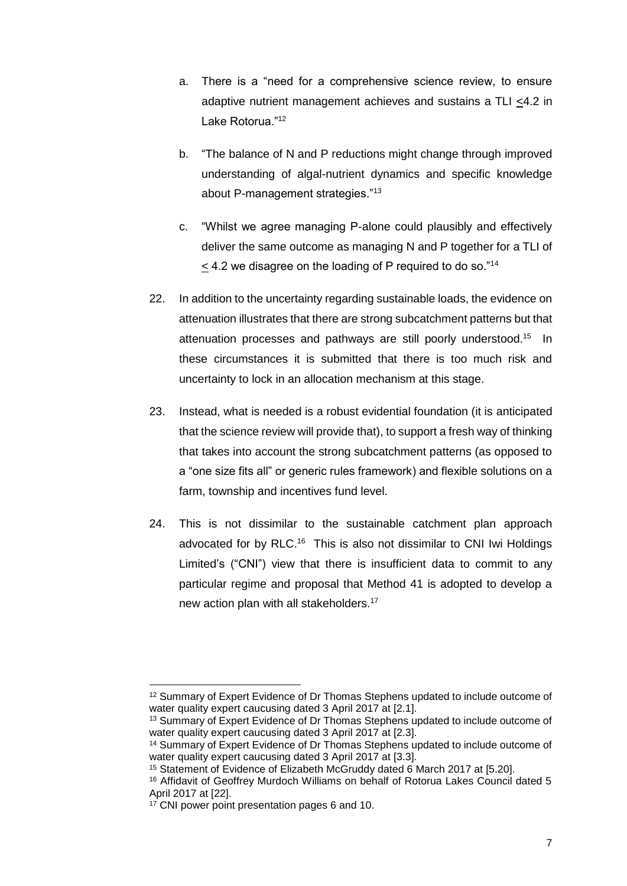- a. There is a "need for a comprehensive science review, to ensure adaptive nutrient management achieves and sustains a TLI <4.2 in Lake Rotorua."<sup>12</sup>
- b. "The balance of N and P reductions might change through improved understanding of algal-nutrient dynamics and specific knowledge about P-management strategies."<sup>13</sup>
- c. "Whilst we agree managing P-alone could plausibly and effectively deliver the same outcome as managing N and P together for a TLI of  $\leq$  4.2 we disagree on the loading of P required to do so."<sup>14</sup>
- 22. In addition to the uncertainty regarding sustainable loads, the evidence on attenuation illustrates that there are strong subcatchment patterns but that attenuation processes and pathways are still poorly understood. 15 In these circumstances it is submitted that there is too much risk and uncertainty to lock in an allocation mechanism at this stage.
- 23. Instead, what is needed is a robust evidential foundation (it is anticipated that the science review will provide that), to support a fresh way of thinking that takes into account the strong subcatchment patterns (as opposed to a "one size fits all" or generic rules framework) and flexible solutions on a farm, township and incentives fund level.
- 24. This is not dissimilar to the sustainable catchment plan approach advocated for by RLC.<sup>16</sup> This is also not dissimilar to CNI Iwi Holdings Limited's ("CNI") view that there is insufficient data to commit to any particular regime and proposal that Method 41 is adopted to develop a new action plan with all stakeholders.<sup>17</sup>

-

<sup>12</sup> Summary of Expert Evidence of Dr Thomas Stephens updated to include outcome of water quality expert caucusing dated 3 April 2017 at [2.1].

<sup>13</sup> Summary of Expert Evidence of Dr Thomas Stephens updated to include outcome of water quality expert caucusing dated 3 April 2017 at [2.3].

<sup>14</sup> Summary of Expert Evidence of Dr Thomas Stephens updated to include outcome of water quality expert caucusing dated 3 April 2017 at [3.3].

<sup>&</sup>lt;sup>15</sup> Statement of Evidence of Elizabeth McGruddy dated 6 March 2017 at [5.20].

<sup>16</sup> Affidavit of Geoffrey Murdoch Williams on behalf of Rotorua Lakes Council dated 5 April 2017 at [22].

<sup>17</sup> CNI power point presentation pages 6 and 10.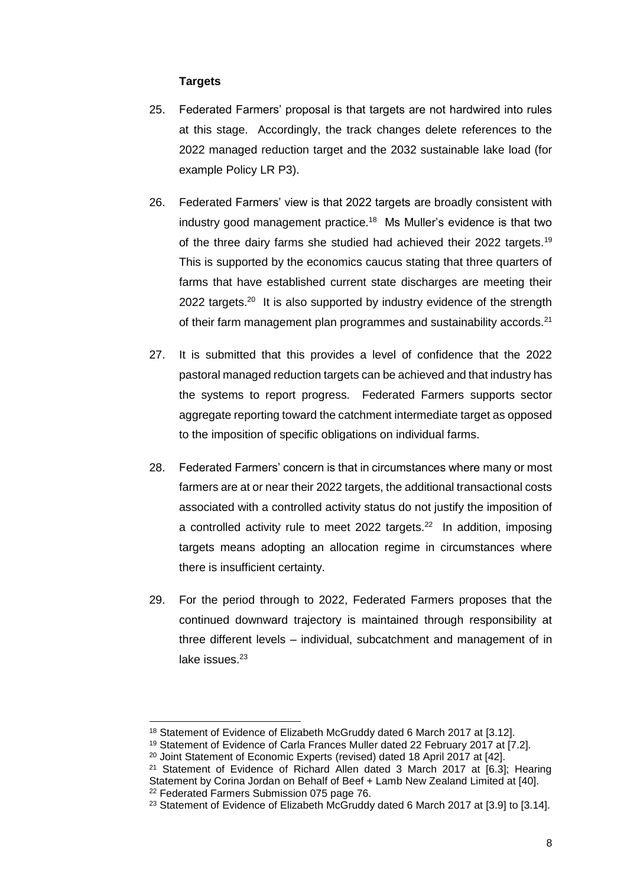#### **Targets**

- 25. Federated Farmers' proposal is that targets are not hardwired into rules at this stage. Accordingly, the track changes delete references to the 2022 managed reduction target and the 2032 sustainable lake load (for example Policy LR P3).
- 26. Federated Farmers' view is that 2022 targets are broadly consistent with industry good management practice.<sup>18</sup> Ms Muller's evidence is that two of the three dairy farms she studied had achieved their 2022 targets.<sup>19</sup> This is supported by the economics caucus stating that three quarters of farms that have established current state discharges are meeting their 2022 targets. $20$  It is also supported by industry evidence of the strength of their farm management plan programmes and sustainability accords.<sup>21</sup>
- 27. It is submitted that this provides a level of confidence that the 2022 pastoral managed reduction targets can be achieved and that industry has the systems to report progress. Federated Farmers supports sector aggregate reporting toward the catchment intermediate target as opposed to the imposition of specific obligations on individual farms.
- 28. Federated Farmers' concern is that in circumstances where many or most farmers are at or near their 2022 targets, the additional transactional costs associated with a controlled activity status do not justify the imposition of a controlled activity rule to meet 2022 targets. $22$  In addition, imposing targets means adopting an allocation regime in circumstances where there is insufficient certainty.
- 29. For the period through to 2022, Federated Farmers proposes that the continued downward trajectory is maintained through responsibility at three different levels – individual, subcatchment and management of in lake issues.<sup>23</sup>

<sup>18</sup> Statement of Evidence of Elizabeth McGruddy dated 6 March 2017 at [3.12].

<sup>19</sup> Statement of Evidence of Carla Frances Muller dated 22 February 2017 at [7.2].

<sup>&</sup>lt;sup>20</sup> Joint Statement of Economic Experts (revised) dated 18 April 2017 at [42].

<sup>21</sup> Statement of Evidence of Richard Allen dated 3 March 2017 at [6.3]; Hearing Statement by Corina Jordan on Behalf of Beef + Lamb New Zealand Limited at [40]. <sup>22</sup> Federated Farmers Submission 075 page 76.

<sup>&</sup>lt;sup>23</sup> Statement of Evidence of Elizabeth McGruddy dated 6 March 2017 at [3.9] to [3.14].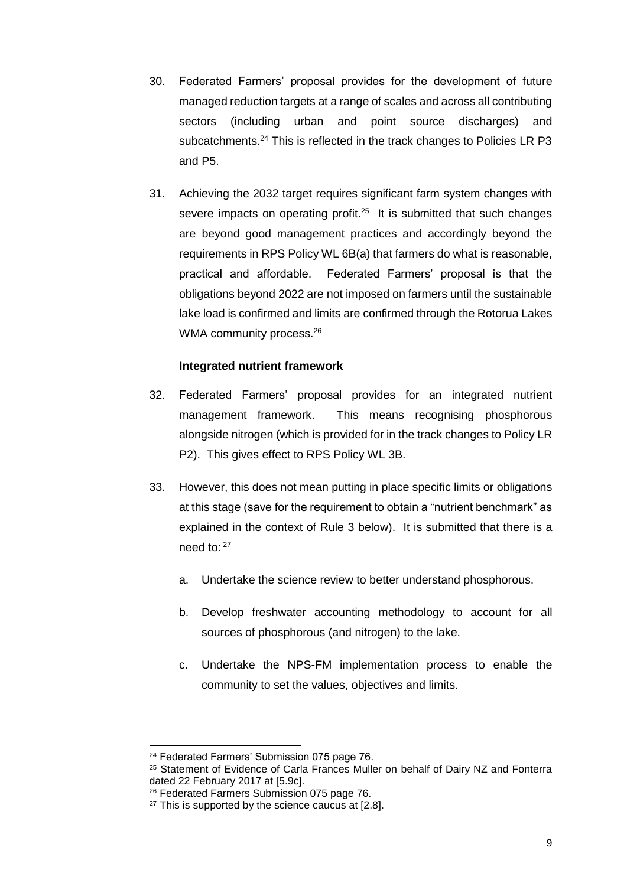- 30. Federated Farmers' proposal provides for the development of future managed reduction targets at a range of scales and across all contributing sectors (including urban and point source discharges) and subcatchments.<sup>24</sup> This is reflected in the track changes to Policies LR P3 and P5.
- 31. Achieving the 2032 target requires significant farm system changes with severe impacts on operating profit.<sup>25</sup> It is submitted that such changes are beyond good management practices and accordingly beyond the requirements in RPS Policy WL 6B(a) that farmers do what is reasonable, practical and affordable. Federated Farmers' proposal is that the obligations beyond 2022 are not imposed on farmers until the sustainable lake load is confirmed and limits are confirmed through the Rotorua Lakes WMA community process.<sup>26</sup>

#### **Integrated nutrient framework**

- 32. Federated Farmers' proposal provides for an integrated nutrient management framework. This means recognising phosphorous alongside nitrogen (which is provided for in the track changes to Policy LR P2). This gives effect to RPS Policy WL 3B.
- 33. However, this does not mean putting in place specific limits or obligations at this stage (save for the requirement to obtain a "nutrient benchmark" as explained in the context of Rule 3 below). It is submitted that there is a need to: 27
	- a. Undertake the science review to better understand phosphorous.
	- b. Develop freshwater accounting methodology to account for all sources of phosphorous (and nitrogen) to the lake.
	- c. Undertake the NPS-FM implementation process to enable the community to set the values, objectives and limits.

<sup>24</sup> Federated Farmers' Submission 075 page 76.

<sup>&</sup>lt;sup>25</sup> Statement of Evidence of Carla Frances Muller on behalf of Dairy NZ and Fonterra dated 22 February 2017 at [5.9c].

<sup>26</sup> Federated Farmers Submission 075 page 76.

 $27$  This is supported by the science caucus at [2.8].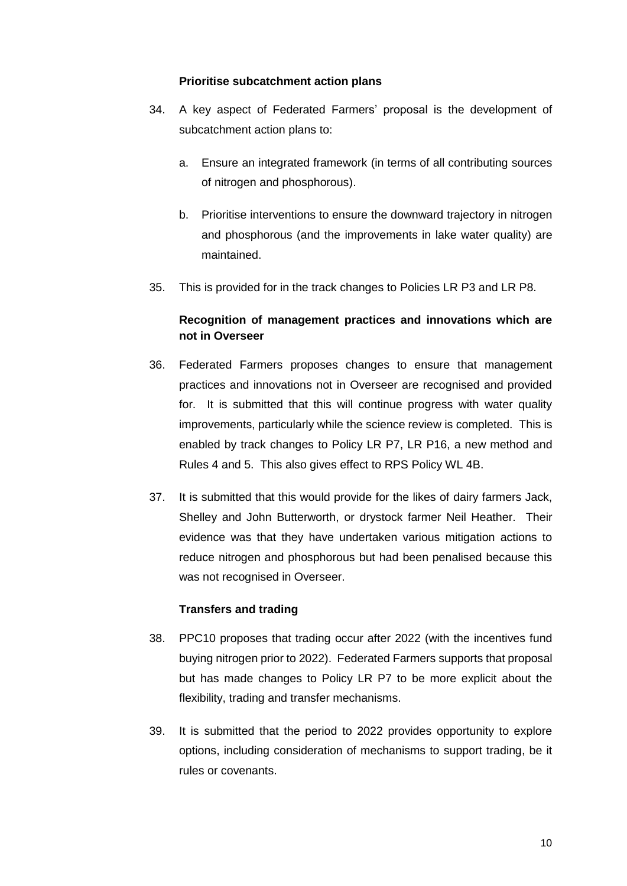#### **Prioritise subcatchment action plans**

- 34. A key aspect of Federated Farmers' proposal is the development of subcatchment action plans to:
	- a. Ensure an integrated framework (in terms of all contributing sources of nitrogen and phosphorous).
	- b. Prioritise interventions to ensure the downward trajectory in nitrogen and phosphorous (and the improvements in lake water quality) are maintained.
- 35. This is provided for in the track changes to Policies LR P3 and LR P8.

# **Recognition of management practices and innovations which are not in Overseer**

- 36. Federated Farmers proposes changes to ensure that management practices and innovations not in Overseer are recognised and provided for. It is submitted that this will continue progress with water quality improvements, particularly while the science review is completed. This is enabled by track changes to Policy LR P7, LR P16, a new method and Rules 4 and 5. This also gives effect to RPS Policy WL 4B.
- 37. It is submitted that this would provide for the likes of dairy farmers Jack, Shelley and John Butterworth, or drystock farmer Neil Heather. Their evidence was that they have undertaken various mitigation actions to reduce nitrogen and phosphorous but had been penalised because this was not recognised in Overseer.

#### **Transfers and trading**

- 38. PPC10 proposes that trading occur after 2022 (with the incentives fund buying nitrogen prior to 2022). Federated Farmers supports that proposal but has made changes to Policy LR P7 to be more explicit about the flexibility, trading and transfer mechanisms.
- 39. It is submitted that the period to 2022 provides opportunity to explore options, including consideration of mechanisms to support trading, be it rules or covenants.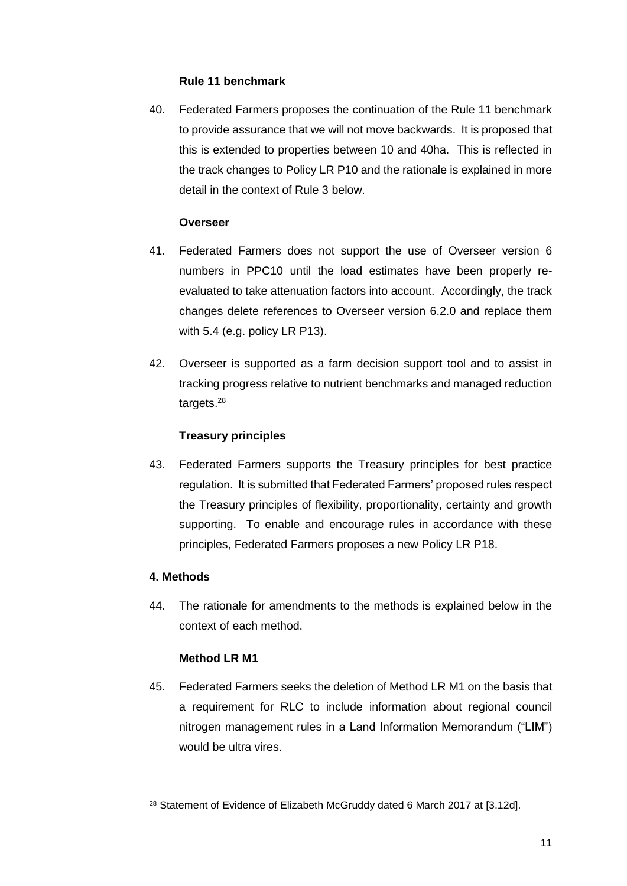#### **Rule 11 benchmark**

40. Federated Farmers proposes the continuation of the Rule 11 benchmark to provide assurance that we will not move backwards. It is proposed that this is extended to properties between 10 and 40ha. This is reflected in the track changes to Policy LR P10 and the rationale is explained in more detail in the context of Rule 3 below.

#### **Overseer**

- 41. Federated Farmers does not support the use of Overseer version 6 numbers in PPC10 until the load estimates have been properly reevaluated to take attenuation factors into account. Accordingly, the track changes delete references to Overseer version 6.2.0 and replace them with 5.4 (e.g. policy LR P13).
- 42. Overseer is supported as a farm decision support tool and to assist in tracking progress relative to nutrient benchmarks and managed reduction targets.<sup>28</sup>

## **Treasury principles**

43. Federated Farmers supports the Treasury principles for best practice regulation. It is submitted that Federated Farmers' proposed rules respect the Treasury principles of flexibility, proportionality, certainty and growth supporting. To enable and encourage rules in accordance with these principles, Federated Farmers proposes a new Policy LR P18.

## **4. Methods**

1

44. The rationale for amendments to the methods is explained below in the context of each method.

## **Method LR M1**

45. Federated Farmers seeks the deletion of Method LR M1 on the basis that a requirement for RLC to include information about regional council nitrogen management rules in a Land Information Memorandum ("LIM") would be ultra vires.

<sup>&</sup>lt;sup>28</sup> Statement of Evidence of Elizabeth McGruddy dated 6 March 2017 at [3.12d].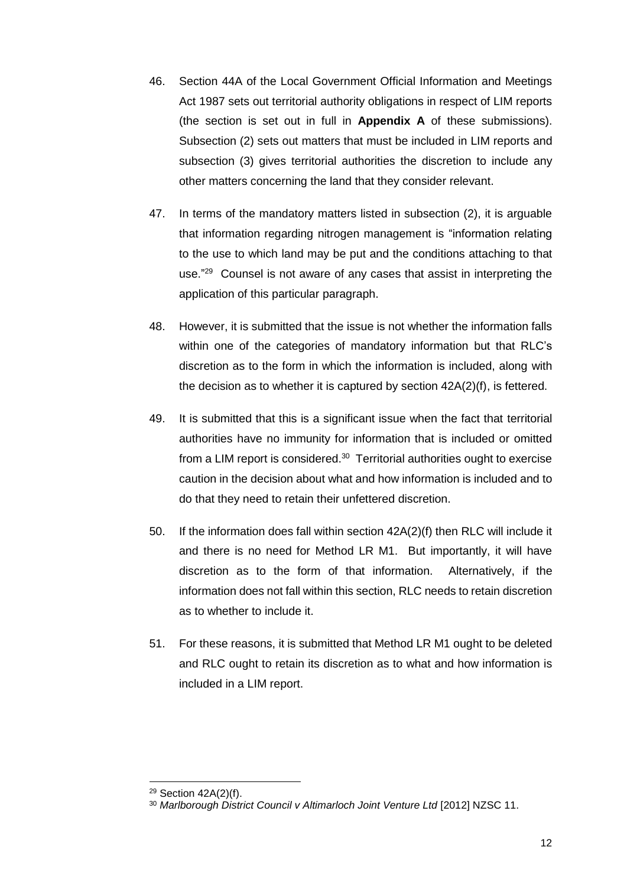- 46. Section 44A of the Local Government Official Information and Meetings Act 1987 sets out territorial authority obligations in respect of LIM reports (the section is set out in full in **Appendix A** of these submissions). Subsection (2) sets out matters that must be included in LIM reports and subsection (3) gives territorial authorities the discretion to include any other matters concerning the land that they consider relevant.
- 47. In terms of the mandatory matters listed in subsection (2), it is arguable that information regarding nitrogen management is "information relating to the use to which land may be put and the conditions attaching to that use."<sup>29</sup> Counsel is not aware of any cases that assist in interpreting the application of this particular paragraph.
- 48. However, it is submitted that the issue is not whether the information falls within one of the categories of mandatory information but that RLC's discretion as to the form in which the information is included, along with the decision as to whether it is captured by section 42A(2)(f), is fettered.
- 49. It is submitted that this is a significant issue when the fact that territorial authorities have no immunity for information that is included or omitted from a LIM report is considered.<sup>30</sup> Territorial authorities ought to exercise caution in the decision about what and how information is included and to do that they need to retain their unfettered discretion.
- 50. If the information does fall within section 42A(2)(f) then RLC will include it and there is no need for Method LR M1. But importantly, it will have discretion as to the form of that information. Alternatively, if the information does not fall within this section, RLC needs to retain discretion as to whether to include it.
- 51. For these reasons, it is submitted that Method LR M1 ought to be deleted and RLC ought to retain its discretion as to what and how information is included in a LIM report.

<sup>29</sup> Section 42A(2)(f).

<sup>&</sup>lt;sup>30</sup> Marlborough District Council v Altimarloch Joint Venture Ltd [2012] NZSC 11.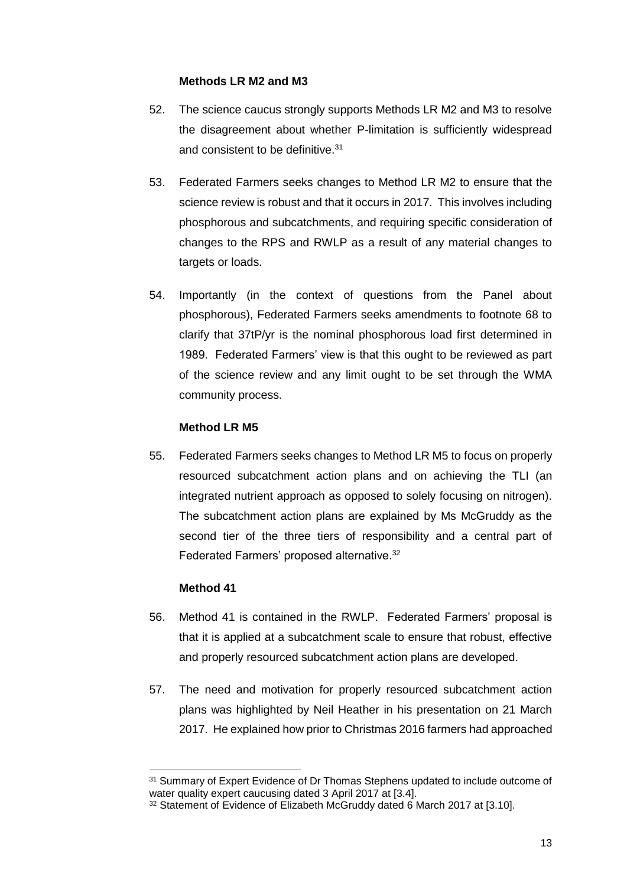#### **Methods LR M2 and M3**

- 52. The science caucus strongly supports Methods LR M2 and M3 to resolve the disagreement about whether P-limitation is sufficiently widespread and consistent to be definitive.<sup>31</sup>
- 53. Federated Farmers seeks changes to Method LR M2 to ensure that the science review is robust and that it occurs in 2017. This involves including phosphorous and subcatchments, and requiring specific consideration of changes to the RPS and RWLP as a result of any material changes to targets or loads.
- 54. Importantly (in the context of questions from the Panel about phosphorous), Federated Farmers seeks amendments to footnote 68 to clarify that 37tP/yr is the nominal phosphorous load first determined in 1989. Federated Farmers' view is that this ought to be reviewed as part of the science review and any limit ought to be set through the WMA community process.

## **Method LR M5**

55. Federated Farmers seeks changes to Method LR M5 to focus on properly resourced subcatchment action plans and on achieving the TLI (an integrated nutrient approach as opposed to solely focusing on nitrogen). The subcatchment action plans are explained by Ms McGruddy as the second tier of the three tiers of responsibility and a central part of Federated Farmers' proposed alternative.<sup>32</sup>

## **Method 41**

-

- 56. Method 41 is contained in the RWLP. Federated Farmers' proposal is that it is applied at a subcatchment scale to ensure that robust, effective and properly resourced subcatchment action plans are developed.
- 57. The need and motivation for properly resourced subcatchment action plans was highlighted by Neil Heather in his presentation on 21 March 2017. He explained how prior to Christmas 2016 farmers had approached

<sup>&</sup>lt;sup>31</sup> Summary of Expert Evidence of Dr Thomas Stephens updated to include outcome of water quality expert caucusing dated 3 April 2017 at [3.4].

<sup>&</sup>lt;sup>32</sup> Statement of Evidence of Elizabeth McGruddy dated 6 March 2017 at [3.10].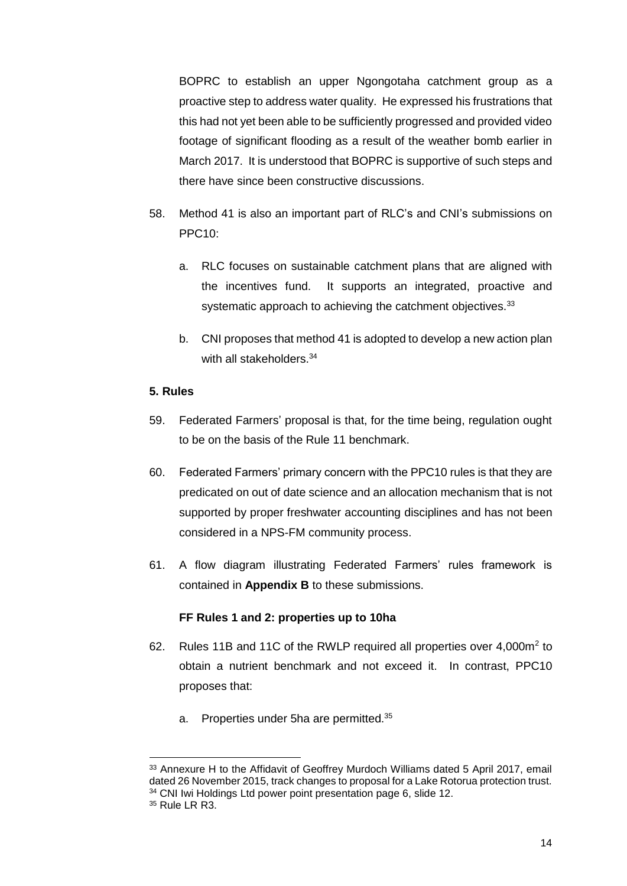BOPRC to establish an upper Ngongotaha catchment group as a proactive step to address water quality. He expressed his frustrations that this had not yet been able to be sufficiently progressed and provided video footage of significant flooding as a result of the weather bomb earlier in March 2017. It is understood that BOPRC is supportive of such steps and there have since been constructive discussions.

- 58. Method 41 is also an important part of RLC's and CNI's submissions on PPC10:
	- a. RLC focuses on sustainable catchment plans that are aligned with the incentives fund. It supports an integrated, proactive and systematic approach to achieving the catchment objectives.<sup>33</sup>
	- b. CNI proposes that method 41 is adopted to develop a new action plan with all stakeholders.<sup>34</sup>

## **5. Rules**

- 59. Federated Farmers' proposal is that, for the time being, regulation ought to be on the basis of the Rule 11 benchmark.
- 60. Federated Farmers' primary concern with the PPC10 rules is that they are predicated on out of date science and an allocation mechanism that is not supported by proper freshwater accounting disciplines and has not been considered in a NPS-FM community process.
- 61. A flow diagram illustrating Federated Farmers' rules framework is contained in **Appendix B** to these submissions.

## **FF Rules 1 and 2: properties up to 10ha**

- 62. Rules 11B and 11C of the RWLP required all properties over  $4,000m^2$  to obtain a nutrient benchmark and not exceed it. In contrast, PPC10 proposes that:
	- a. Properties under 5ha are permitted.<sup>35</sup>

-

<sup>33</sup> Annexure H to the Affidavit of Geoffrey Murdoch Williams dated 5 April 2017, email dated 26 November 2015, track changes to proposal for a Lake Rotorua protection trust. <sup>34</sup> CNI Iwi Holdings Ltd power point presentation page 6, slide 12.

<sup>35</sup> Rule LR R3.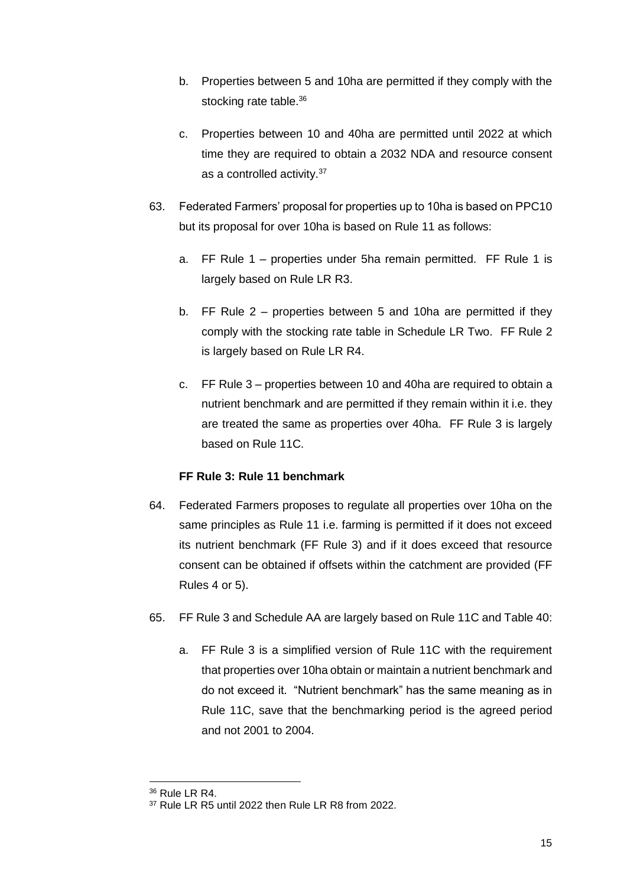- b. Properties between 5 and 10ha are permitted if they comply with the stocking rate table.<sup>36</sup>
- c. Properties between 10 and 40ha are permitted until 2022 at which time they are required to obtain a 2032 NDA and resource consent as a controlled activity.<sup>37</sup>
- 63. Federated Farmers' proposal for properties up to 10ha is based on PPC10 but its proposal for over 10ha is based on Rule 11 as follows:
	- a. FF Rule 1 properties under 5ha remain permitted. FF Rule 1 is largely based on Rule LR R3.
	- b. FF Rule 2 properties between 5 and 10ha are permitted if they comply with the stocking rate table in Schedule LR Two. FF Rule 2 is largely based on Rule LR R4.
	- c. FF Rule 3 properties between 10 and 40ha are required to obtain a nutrient benchmark and are permitted if they remain within it i.e. they are treated the same as properties over 40ha. FF Rule 3 is largely based on Rule 11C.

## **FF Rule 3: Rule 11 benchmark**

- 64. Federated Farmers proposes to regulate all properties over 10ha on the same principles as Rule 11 i.e. farming is permitted if it does not exceed its nutrient benchmark (FF Rule 3) and if it does exceed that resource consent can be obtained if offsets within the catchment are provided (FF Rules 4 or 5).
- 65. FF Rule 3 and Schedule AA are largely based on Rule 11C and Table 40:
	- a. FF Rule 3 is a simplified version of Rule 11C with the requirement that properties over 10ha obtain or maintain a nutrient benchmark and do not exceed it. "Nutrient benchmark" has the same meaning as in Rule 11C, save that the benchmarking period is the agreed period and not 2001 to 2004.

<sup>36</sup> Rule LR R4.

<sup>37</sup> Rule LR R5 until 2022 then Rule LR R8 from 2022.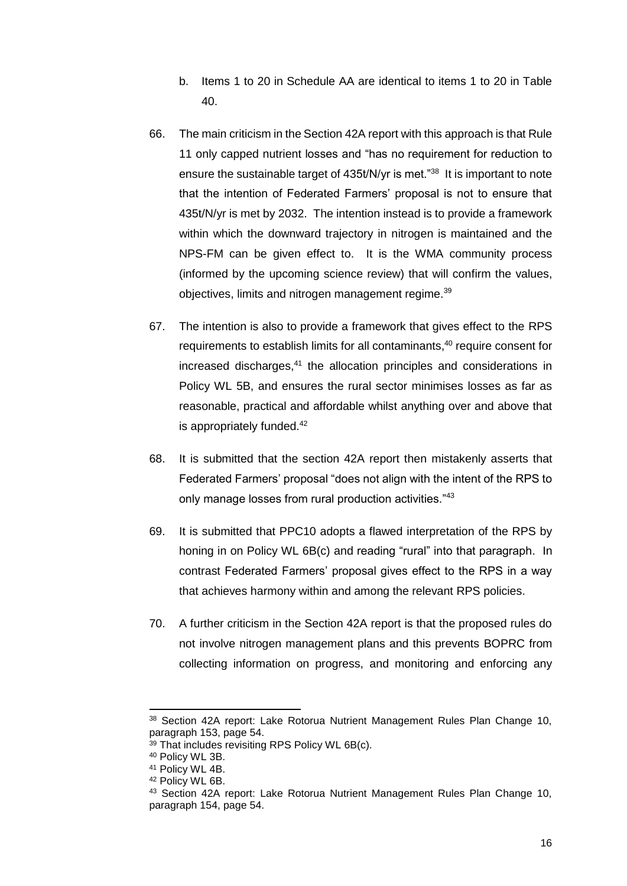- b. Items 1 to 20 in Schedule AA are identical to items 1 to 20 in Table 40.
- 66. The main criticism in the Section 42A report with this approach is that Rule 11 only capped nutrient losses and "has no requirement for reduction to ensure the sustainable target of 435t/N/yr is met."<sup>38</sup> It is important to note that the intention of Federated Farmers' proposal is not to ensure that 435t/N/yr is met by 2032. The intention instead is to provide a framework within which the downward trajectory in nitrogen is maintained and the NPS-FM can be given effect to. It is the WMA community process (informed by the upcoming science review) that will confirm the values, objectives, limits and nitrogen management regime.<sup>39</sup>
- 67. The intention is also to provide a framework that gives effect to the RPS requirements to establish limits for all contaminants, <sup>40</sup> require consent for increased discharges,<sup>41</sup> the allocation principles and considerations in Policy WL 5B, and ensures the rural sector minimises losses as far as reasonable, practical and affordable whilst anything over and above that is appropriately funded.<sup>42</sup>
- 68. It is submitted that the section 42A report then mistakenly asserts that Federated Farmers' proposal "does not align with the intent of the RPS to only manage losses from rural production activities."<sup>43</sup>
- 69. It is submitted that PPC10 adopts a flawed interpretation of the RPS by honing in on Policy WL 6B(c) and reading "rural" into that paragraph. In contrast Federated Farmers' proposal gives effect to the RPS in a way that achieves harmony within and among the relevant RPS policies.
- 70. A further criticism in the Section 42A report is that the proposed rules do not involve nitrogen management plans and this prevents BOPRC from collecting information on progress, and monitoring and enforcing any

<sup>38</sup> Section 42A report: Lake Rotorua Nutrient Management Rules Plan Change 10, paragraph 153, page 54.

<sup>39</sup> That includes revisiting RPS Policy WL 6B(c).

<sup>40</sup> Policy WL 3B.

<sup>41</sup> Policy WL 4B.

<sup>42</sup> Policy WL 6B.

<sup>43</sup> Section 42A report: Lake Rotorua Nutrient Management Rules Plan Change 10, paragraph 154, page 54.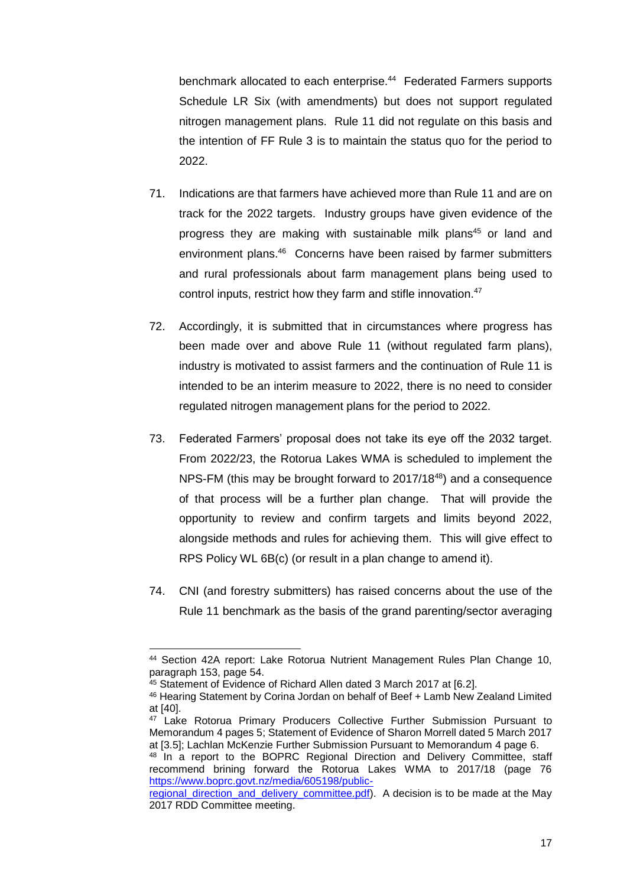benchmark allocated to each enterprise.<sup>44</sup> Federated Farmers supports Schedule LR Six (with amendments) but does not support regulated nitrogen management plans. Rule 11 did not regulate on this basis and the intention of FF Rule 3 is to maintain the status quo for the period to 2022.

- 71. Indications are that farmers have achieved more than Rule 11 and are on track for the 2022 targets. Industry groups have given evidence of the progress they are making with sustainable milk plans<sup>45</sup> or land and environment plans.<sup>46</sup> Concerns have been raised by farmer submitters and rural professionals about farm management plans being used to control inputs, restrict how they farm and stifle innovation. 47
- 72. Accordingly, it is submitted that in circumstances where progress has been made over and above Rule 11 (without regulated farm plans), industry is motivated to assist farmers and the continuation of Rule 11 is intended to be an interim measure to 2022, there is no need to consider regulated nitrogen management plans for the period to 2022.
- 73. Federated Farmers' proposal does not take its eye off the 2032 target. From 2022/23, the Rotorua Lakes WMA is scheduled to implement the NPS-FM (this may be brought forward to 2017/18<sup>48</sup>) and a consequence of that process will be a further plan change. That will provide the opportunity to review and confirm targets and limits beyond 2022, alongside methods and rules for achieving them. This will give effect to RPS Policy WL 6B(c) (or result in a plan change to amend it).
- 74. CNI (and forestry submitters) has raised concerns about the use of the Rule 11 benchmark as the basis of the grand parenting/sector averaging

<sup>-</sup><sup>44</sup> Section 42A report: Lake Rotorua Nutrient Management Rules Plan Change 10, paragraph 153, page 54.

<sup>45</sup> Statement of Evidence of Richard Allen dated 3 March 2017 at [6.2].

<sup>46</sup> Hearing Statement by Corina Jordan on behalf of Beef + Lamb New Zealand Limited at [40].

<sup>&</sup>lt;sup>47</sup> Lake Rotorua Primary Producers Collective Further Submission Pursuant to Memorandum 4 pages 5; Statement of Evidence of Sharon Morrell dated 5 March 2017 at [3.5]; Lachlan McKenzie Further Submission Pursuant to Memorandum 4 page 6.

<sup>&</sup>lt;sup>48</sup> In a report to the BOPRC Regional Direction and Delivery Committee, staff recommend brining forward the Rotorua Lakes WMA to 2017/18 (page 76 [https://www.boprc.govt.nz/media/605198/public-](https://www.boprc.govt.nz/media/605198/public-regional_direction_and_delivery_committee.pdf)

[regional\\_direction\\_and\\_delivery\\_committee.pdf\)](https://www.boprc.govt.nz/media/605198/public-regional_direction_and_delivery_committee.pdf). A decision is to be made at the May 2017 RDD Committee meeting.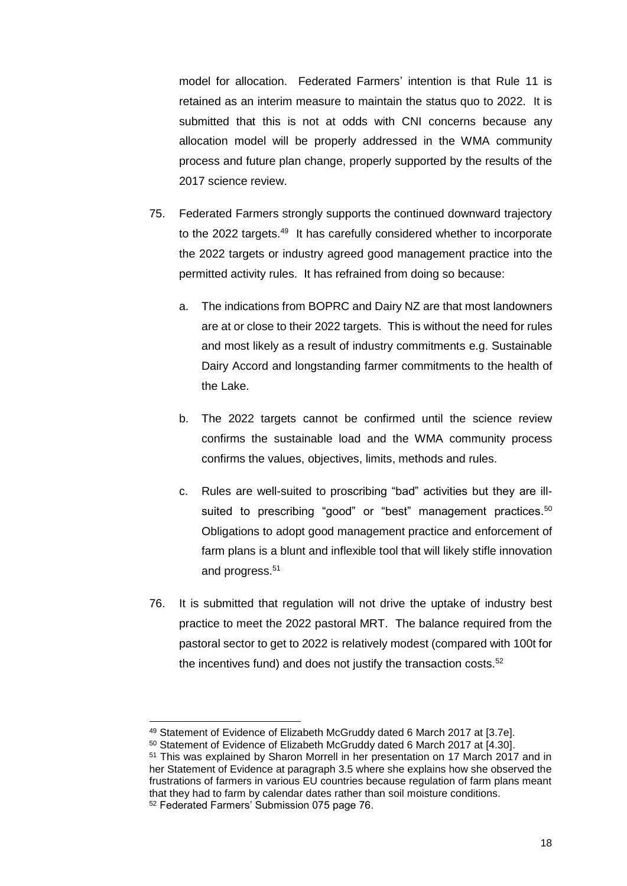model for allocation. Federated Farmers' intention is that Rule 11 is retained as an interim measure to maintain the status quo to 2022. It is submitted that this is not at odds with CNI concerns because any allocation model will be properly addressed in the WMA community process and future plan change, properly supported by the results of the 2017 science review.

- 75. Federated Farmers strongly supports the continued downward trajectory to the 2022 targets.<sup>49</sup> It has carefully considered whether to incorporate the 2022 targets or industry agreed good management practice into the permitted activity rules. It has refrained from doing so because:
	- a. The indications from BOPRC and Dairy NZ are that most landowners are at or close to their 2022 targets. This is without the need for rules and most likely as a result of industry commitments e.g. Sustainable Dairy Accord and longstanding farmer commitments to the health of the Lake.
	- b. The 2022 targets cannot be confirmed until the science review confirms the sustainable load and the WMA community process confirms the values, objectives, limits, methods and rules.
	- c. Rules are well-suited to proscribing "bad" activities but they are illsuited to prescribing "good" or "best" management practices.<sup>50</sup> Obligations to adopt good management practice and enforcement of farm plans is a blunt and inflexible tool that will likely stifle innovation and progress.<sup>51</sup>
- 76. It is submitted that regulation will not drive the uptake of industry best practice to meet the 2022 pastoral MRT. The balance required from the pastoral sector to get to 2022 is relatively modest (compared with 100t for the incentives fund) and does not justify the transaction costs.<sup>52</sup>

<sup>1</sup> 49 Statement of Evidence of Elizabeth McGruddy dated 6 March 2017 at [3.7e].

<sup>50</sup> Statement of Evidence of Elizabeth McGruddy dated 6 March 2017 at [4.30].

<sup>51</sup> This was explained by Sharon Morrell in her presentation on 17 March 2017 and in her Statement of Evidence at paragraph 3.5 where she explains how she observed the frustrations of farmers in various EU countries because regulation of farm plans meant that they had to farm by calendar dates rather than soil moisture conditions. <sup>52</sup> Federated Farmers' Submission 075 page 76.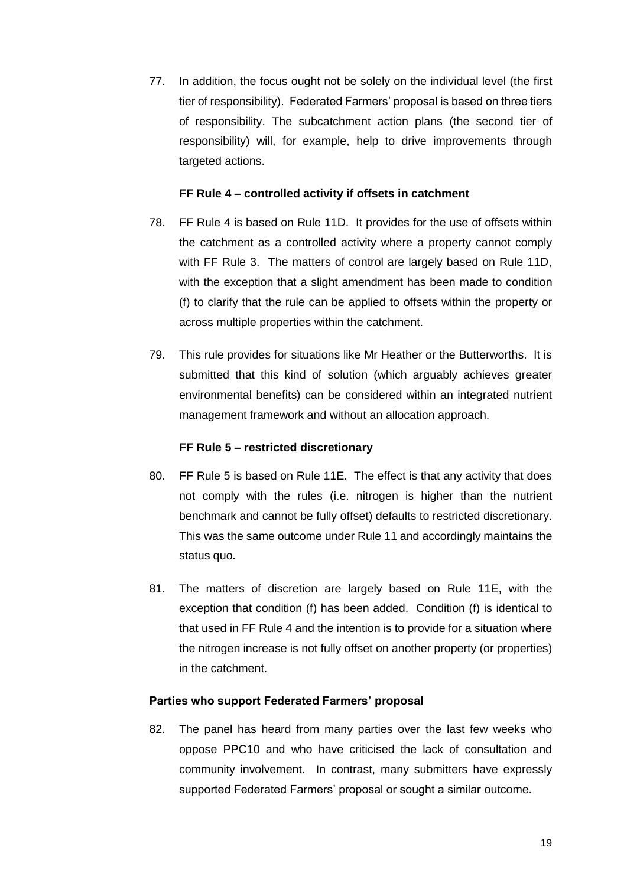77. In addition, the focus ought not be solely on the individual level (the first tier of responsibility). Federated Farmers' proposal is based on three tiers of responsibility. The subcatchment action plans (the second tier of responsibility) will, for example, help to drive improvements through targeted actions.

#### **FF Rule 4 – controlled activity if offsets in catchment**

- 78. FF Rule 4 is based on Rule 11D. It provides for the use of offsets within the catchment as a controlled activity where a property cannot comply with FF Rule 3. The matters of control are largely based on Rule 11D, with the exception that a slight amendment has been made to condition (f) to clarify that the rule can be applied to offsets within the property or across multiple properties within the catchment.
- 79. This rule provides for situations like Mr Heather or the Butterworths. It is submitted that this kind of solution (which arguably achieves greater environmental benefits) can be considered within an integrated nutrient management framework and without an allocation approach.

#### **FF Rule 5 – restricted discretionary**

- 80. FF Rule 5 is based on Rule 11E. The effect is that any activity that does not comply with the rules (i.e. nitrogen is higher than the nutrient benchmark and cannot be fully offset) defaults to restricted discretionary. This was the same outcome under Rule 11 and accordingly maintains the status quo.
- 81. The matters of discretion are largely based on Rule 11E, with the exception that condition (f) has been added. Condition (f) is identical to that used in FF Rule 4 and the intention is to provide for a situation where the nitrogen increase is not fully offset on another property (or properties) in the catchment.

#### **Parties who support Federated Farmers' proposal**

82. The panel has heard from many parties over the last few weeks who oppose PPC10 and who have criticised the lack of consultation and community involvement. In contrast, many submitters have expressly supported Federated Farmers' proposal or sought a similar outcome.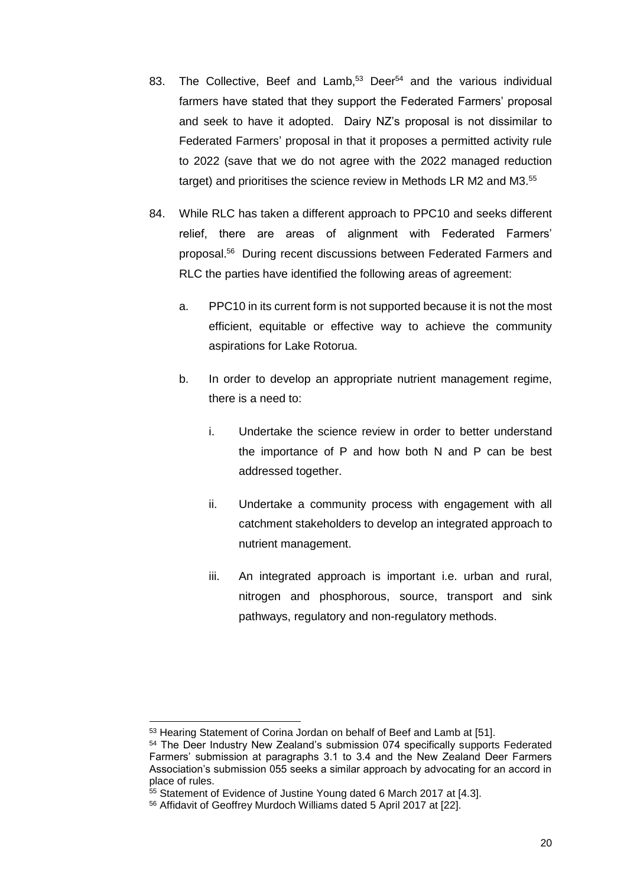- 83. The Collective, Beef and Lamb,<sup>53</sup> Deer<sup>54</sup> and the various individual farmers have stated that they support the Federated Farmers' proposal and seek to have it adopted. Dairy NZ's proposal is not dissimilar to Federated Farmers' proposal in that it proposes a permitted activity rule to 2022 (save that we do not agree with the 2022 managed reduction target) and prioritises the science review in Methods LR M2 and M3.<sup>55</sup>
- 84. While RLC has taken a different approach to PPC10 and seeks different relief, there are areas of alignment with Federated Farmers' proposal.<sup>56</sup> During recent discussions between Federated Farmers and RLC the parties have identified the following areas of agreement:
	- a. PPC10 in its current form is not supported because it is not the most efficient, equitable or effective way to achieve the community aspirations for Lake Rotorua.
	- b. In order to develop an appropriate nutrient management regime, there is a need to:
		- i. Undertake the science review in order to better understand the importance of P and how both N and P can be best addressed together.
		- ii. Undertake a community process with engagement with all catchment stakeholders to develop an integrated approach to nutrient management.
		- iii. An integrated approach is important i.e. urban and rural, nitrogen and phosphorous, source, transport and sink pathways, regulatory and non-regulatory methods.

<sup>1</sup> <sup>53</sup> Hearing Statement of Corina Jordan on behalf of Beef and Lamb at [51].

<sup>54</sup> The Deer Industry New Zealand's submission 074 specifically supports Federated Farmers' submission at paragraphs 3.1 to 3.4 and the New Zealand Deer Farmers Association's submission 055 seeks a similar approach by advocating for an accord in place of rules.

<sup>55</sup> Statement of Evidence of Justine Young dated 6 March 2017 at [4.3].

<sup>56</sup> Affidavit of Geoffrey Murdoch Williams dated 5 April 2017 at [22].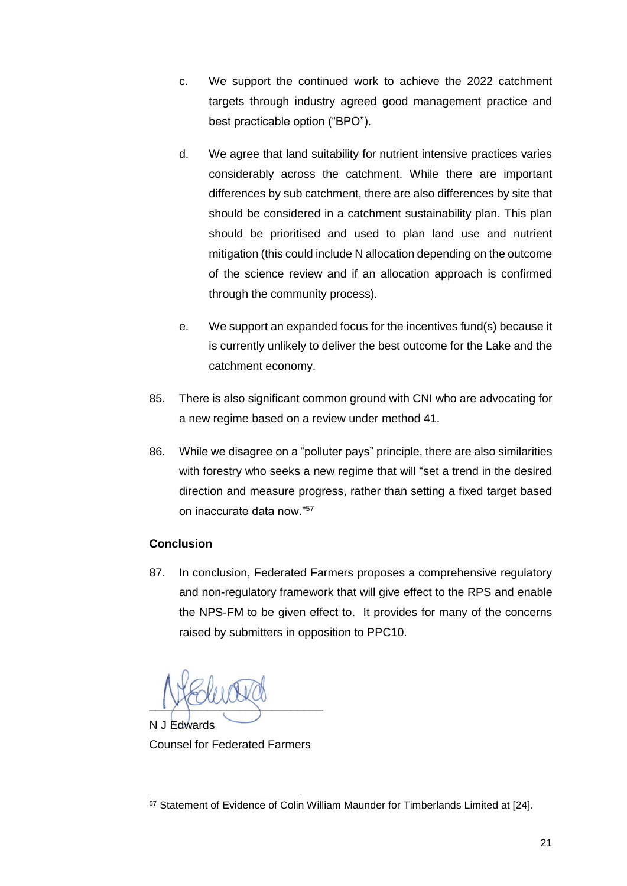- c. We support the continued work to achieve the 2022 catchment targets through industry agreed good management practice and best practicable option ("BPO").
- d. We agree that land suitability for nutrient intensive practices varies considerably across the catchment. While there are important differences by sub catchment, there are also differences by site that should be considered in a catchment sustainability plan. This plan should be prioritised and used to plan land use and nutrient mitigation (this could include N allocation depending on the outcome of the science review and if an allocation approach is confirmed through the community process).
- e. We support an expanded focus for the incentives fund(s) because it is currently unlikely to deliver the best outcome for the Lake and the catchment economy.
- 85. There is also significant common ground with CNI who are advocating for a new regime based on a review under method 41.
- 86. While we disagree on a "polluter pays" principle, there are also similarities with forestry who seeks a new regime that will "set a trend in the desired direction and measure progress, rather than setting a fixed target based on inaccurate data now."<sup>57</sup>

## **Conclusion**

87. In conclusion, Federated Farmers proposes a comprehensive regulatory and non-regulatory framework that will give effect to the RPS and enable the NPS-FM to be given effect to. It provides for many of the concerns raised by submitters in opposition to PPC10.

 $\sqrt{2}$ N J Edwards

Counsel for Federated Farmers

<sup>1</sup> <sup>57</sup> Statement of Evidence of Colin William Maunder for Timberlands Limited at [24].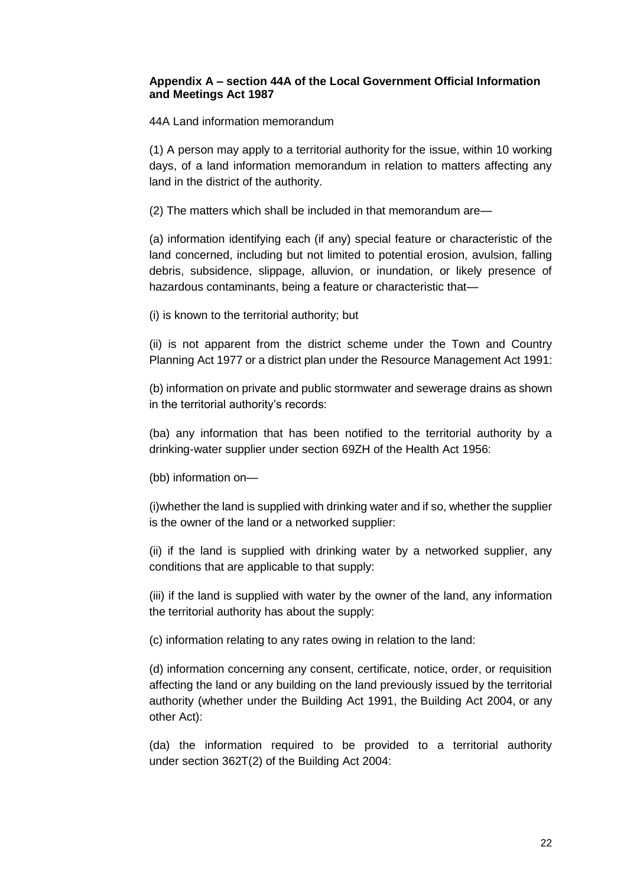#### **Appendix A – section 44A of the Local Government Official Information and Meetings Act 1987**

44A Land information memorandum

(1) A person may apply to a territorial authority for the issue, within 10 working days, of a land information memorandum in relation to matters affecting any land in the district of the authority.

(2) The matters which shall be included in that memorandum are—

(a) information identifying each (if any) special feature or characteristic of the land concerned, including but not limited to potential erosion, avulsion, falling debris, subsidence, slippage, alluvion, or inundation, or likely presence of hazardous contaminants, being a feature or characteristic that—

(i) is known to the territorial authority; but

(ii) is not apparent from the district scheme under the Town and Country Planning Act 1977 or a district plan under the Resource Management Act 1991:

(b) information on private and public stormwater and sewerage drains as shown in the territorial authority's records:

(ba) any information that has been notified to the territorial authority by a drinking-water supplier under section 69ZH of the Health Act 1956:

(bb) information on—

(i)whether the land is supplied with drinking water and if so, whether the supplier is the owner of the land or a networked supplier:

(ii) if the land is supplied with drinking water by a networked supplier, any conditions that are applicable to that supply:

(iii) if the land is supplied with water by the owner of the land, any information the territorial authority has about the supply:

(c) information relating to any rates owing in relation to the land:

(d) information concerning any consent, certificate, notice, order, or requisition affecting the land or any building on the land previously issued by the territorial authority (whether under the Building Act 1991, the Building Act 2004, or any other Act):

(da) the information required to be provided to a territorial authority under section 362T(2) of the Building Act 2004: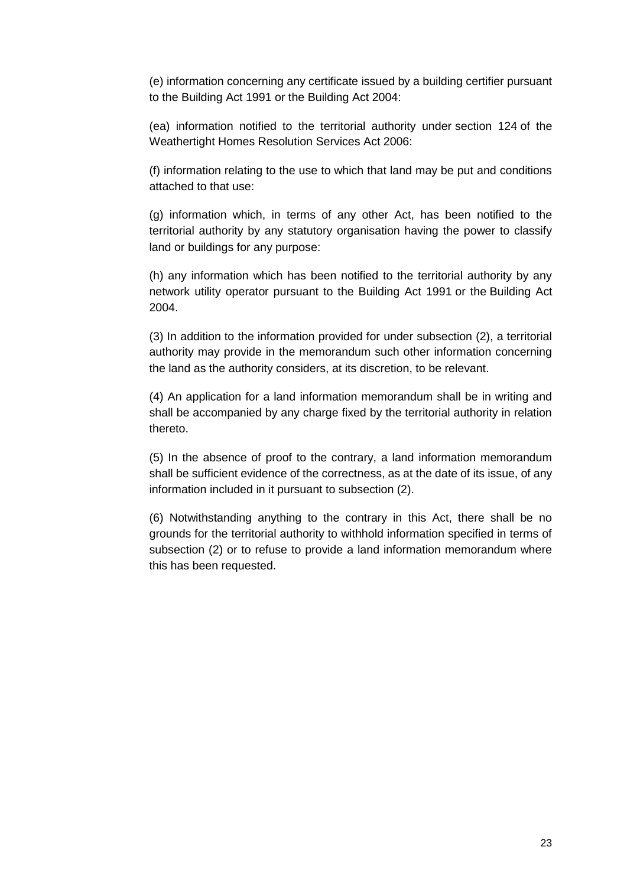(e) information concerning any certificate issued by a building certifier pursuant to the Building Act 1991 or the Building Act 2004:

(ea) information notified to the territorial authority under section 124 of the Weathertight Homes Resolution Services Act 2006:

(f) information relating to the use to which that land may be put and conditions attached to that use:

(g) information which, in terms of any other Act, has been notified to the territorial authority by any statutory organisation having the power to classify land or buildings for any purpose:

(h) any information which has been notified to the territorial authority by any network utility operator pursuant to the Building Act 1991 or the Building Act 2004.

(3) In addition to the information provided for under subsection (2), a territorial authority may provide in the memorandum such other information concerning the land as the authority considers, at its discretion, to be relevant.

(4) An application for a land information memorandum shall be in writing and shall be accompanied by any charge fixed by the territorial authority in relation thereto.

(5) In the absence of proof to the contrary, a land information memorandum shall be sufficient evidence of the correctness, as at the date of its issue, of any information included in it pursuant to subsection (2).

(6) Notwithstanding anything to the contrary in this Act, there shall be no grounds for the territorial authority to withhold information specified in terms of subsection (2) or to refuse to provide a land information memorandum where this has been requested.